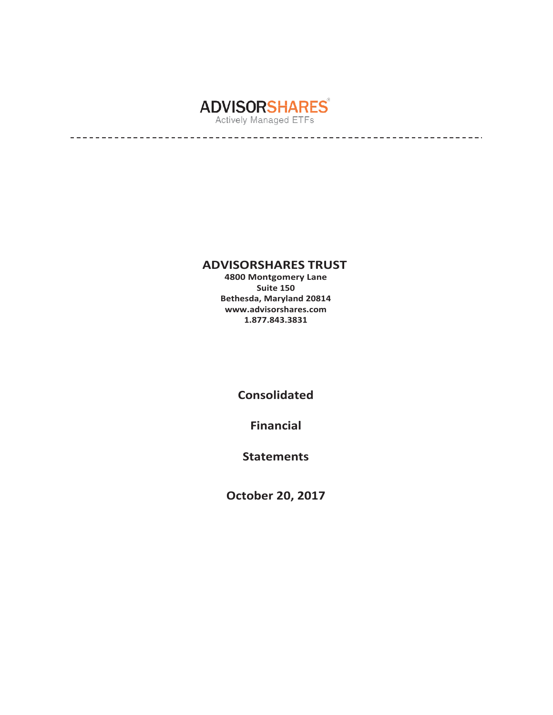

# **ADVISORSHARES TRUST**

**4800 Montgomery Lane Suite 150 Bethesda, Maryland 20814 [www.advisorshares.com](http://www.advisorshares.com/) 1.877.843.3831**

**Consolidated** 

**Financial** 

**Statements**

**October 20, 2017**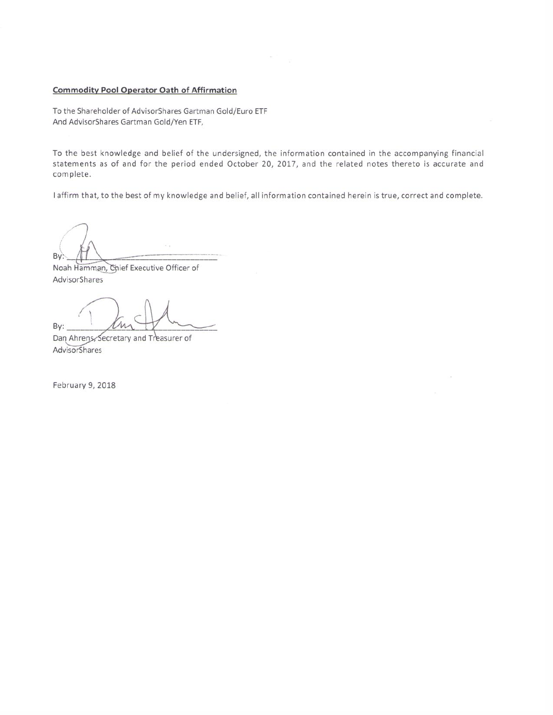#### **Commodity Pool Operator Oath of Affirmation**

To the Shareholder of AdvisorShares Gartman Gold/Euro ETF And AdvisorShares Gartman Gold/Yen ETF,

To the best knowledge and belief of the undersigned, the information contained in the accompanying financial statements as of and for the period ended October 20, 2017, and the related notes thereto is accurate and complete.

laffirm that, to the best of my knowledge and belief, all information contained herein is true, correct and complete.

 $By:$ 

Noah Hamman, Chief Executive Officer of AdvisorShares

By:

Dan Ahrens, Secretary and Treasurer of AdvisorShares

February 9, 2018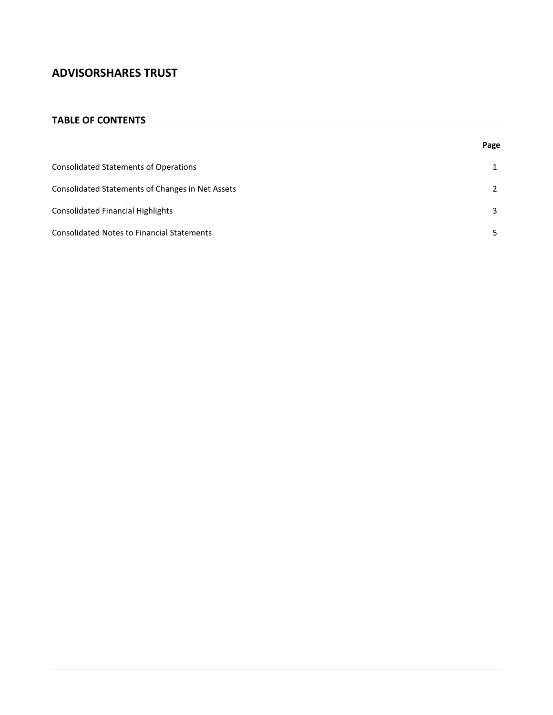### **TABLE OF CONTENTS**

|                                                   | Page |
|---------------------------------------------------|------|
| <b>Consolidated Statements of Operations</b>      |      |
| Consolidated Statements of Changes in Net Assets  | 2    |
| Consolidated Financial Highlights                 | 3    |
| <b>Consolidated Notes to Financial Statements</b> |      |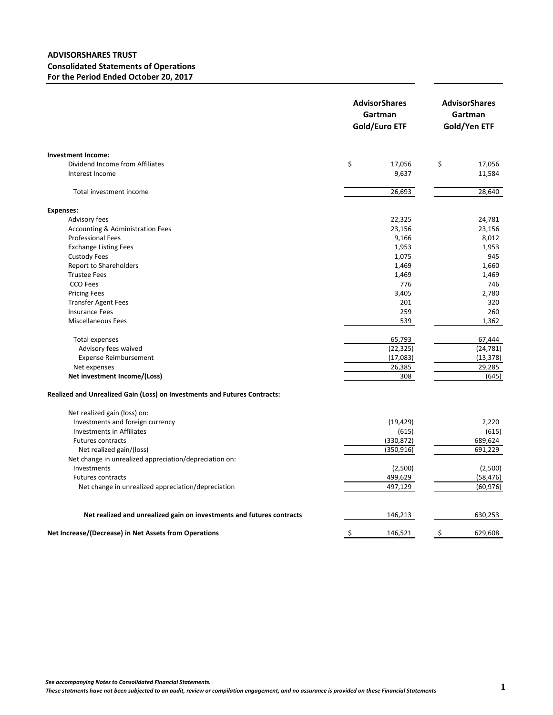### **ADVISORSHARES TRUST Consolidated Statements of Operations For the Period Ended October 20, 2017**

| <b>Investment Income:</b><br>\$<br>\$<br>Dividend Income from Affiliates<br>17,056<br>17,056<br>9,637<br>Interest Income<br>11,584<br>26,693<br>28,640<br>Total investment income<br><b>Expenses:</b><br>Advisory fees<br>24,781<br>22,325<br>Accounting & Administration Fees<br>23,156<br>23,156<br><b>Professional Fees</b><br>9,166<br>8,012<br>1,953<br>1,953<br><b>Exchange Listing Fees</b><br><b>Custody Fees</b><br>1,075<br>945<br><b>Report to Shareholders</b><br>1,469<br>1,660<br><b>Trustee Fees</b><br>1,469<br>1,469<br>CCO Fees<br>776<br>746<br><b>Pricing Fees</b><br>3,405<br>2,780<br><b>Transfer Agent Fees</b><br>201<br>320<br><b>Insurance Fees</b><br>259<br>260<br><b>Miscellaneous Fees</b><br>539<br>1,362<br>65,793<br>Total expenses<br>67,444<br>(22, 325)<br>(24, 781)<br>Advisory fees waived<br>(13, 378)<br><b>Expense Reimbursement</b><br>(17,083)<br>29,285<br>26,385<br>Net expenses<br>(645)<br>Net investment Income/(Loss)<br>308<br>Realized and Unrealized Gain (Loss) on Investments and Futures Contracts:<br>Net realized gain (loss) on:<br>Investments and foreign currency<br>(19, 429)<br>2,220<br><b>Investments in Affiliates</b><br>(615)<br>(615)<br>689,624<br><b>Futures contracts</b> |
|---------------------------------------------------------------------------------------------------------------------------------------------------------------------------------------------------------------------------------------------------------------------------------------------------------------------------------------------------------------------------------------------------------------------------------------------------------------------------------------------------------------------------------------------------------------------------------------------------------------------------------------------------------------------------------------------------------------------------------------------------------------------------------------------------------------------------------------------------------------------------------------------------------------------------------------------------------------------------------------------------------------------------------------------------------------------------------------------------------------------------------------------------------------------------------------------------------------------------------------------------|
|                                                                                                                                                                                                                                                                                                                                                                                                                                                                                                                                                                                                                                                                                                                                                                                                                                                                                                                                                                                                                                                                                                                                                                                                                                                   |
|                                                                                                                                                                                                                                                                                                                                                                                                                                                                                                                                                                                                                                                                                                                                                                                                                                                                                                                                                                                                                                                                                                                                                                                                                                                   |
|                                                                                                                                                                                                                                                                                                                                                                                                                                                                                                                                                                                                                                                                                                                                                                                                                                                                                                                                                                                                                                                                                                                                                                                                                                                   |
|                                                                                                                                                                                                                                                                                                                                                                                                                                                                                                                                                                                                                                                                                                                                                                                                                                                                                                                                                                                                                                                                                                                                                                                                                                                   |
|                                                                                                                                                                                                                                                                                                                                                                                                                                                                                                                                                                                                                                                                                                                                                                                                                                                                                                                                                                                                                                                                                                                                                                                                                                                   |
|                                                                                                                                                                                                                                                                                                                                                                                                                                                                                                                                                                                                                                                                                                                                                                                                                                                                                                                                                                                                                                                                                                                                                                                                                                                   |
|                                                                                                                                                                                                                                                                                                                                                                                                                                                                                                                                                                                                                                                                                                                                                                                                                                                                                                                                                                                                                                                                                                                                                                                                                                                   |
|                                                                                                                                                                                                                                                                                                                                                                                                                                                                                                                                                                                                                                                                                                                                                                                                                                                                                                                                                                                                                                                                                                                                                                                                                                                   |
|                                                                                                                                                                                                                                                                                                                                                                                                                                                                                                                                                                                                                                                                                                                                                                                                                                                                                                                                                                                                                                                                                                                                                                                                                                                   |
|                                                                                                                                                                                                                                                                                                                                                                                                                                                                                                                                                                                                                                                                                                                                                                                                                                                                                                                                                                                                                                                                                                                                                                                                                                                   |
|                                                                                                                                                                                                                                                                                                                                                                                                                                                                                                                                                                                                                                                                                                                                                                                                                                                                                                                                                                                                                                                                                                                                                                                                                                                   |
|                                                                                                                                                                                                                                                                                                                                                                                                                                                                                                                                                                                                                                                                                                                                                                                                                                                                                                                                                                                                                                                                                                                                                                                                                                                   |
|                                                                                                                                                                                                                                                                                                                                                                                                                                                                                                                                                                                                                                                                                                                                                                                                                                                                                                                                                                                                                                                                                                                                                                                                                                                   |
|                                                                                                                                                                                                                                                                                                                                                                                                                                                                                                                                                                                                                                                                                                                                                                                                                                                                                                                                                                                                                                                                                                                                                                                                                                                   |
|                                                                                                                                                                                                                                                                                                                                                                                                                                                                                                                                                                                                                                                                                                                                                                                                                                                                                                                                                                                                                                                                                                                                                                                                                                                   |
|                                                                                                                                                                                                                                                                                                                                                                                                                                                                                                                                                                                                                                                                                                                                                                                                                                                                                                                                                                                                                                                                                                                                                                                                                                                   |
|                                                                                                                                                                                                                                                                                                                                                                                                                                                                                                                                                                                                                                                                                                                                                                                                                                                                                                                                                                                                                                                                                                                                                                                                                                                   |
|                                                                                                                                                                                                                                                                                                                                                                                                                                                                                                                                                                                                                                                                                                                                                                                                                                                                                                                                                                                                                                                                                                                                                                                                                                                   |
|                                                                                                                                                                                                                                                                                                                                                                                                                                                                                                                                                                                                                                                                                                                                                                                                                                                                                                                                                                                                                                                                                                                                                                                                                                                   |
|                                                                                                                                                                                                                                                                                                                                                                                                                                                                                                                                                                                                                                                                                                                                                                                                                                                                                                                                                                                                                                                                                                                                                                                                                                                   |
|                                                                                                                                                                                                                                                                                                                                                                                                                                                                                                                                                                                                                                                                                                                                                                                                                                                                                                                                                                                                                                                                                                                                                                                                                                                   |
|                                                                                                                                                                                                                                                                                                                                                                                                                                                                                                                                                                                                                                                                                                                                                                                                                                                                                                                                                                                                                                                                                                                                                                                                                                                   |
|                                                                                                                                                                                                                                                                                                                                                                                                                                                                                                                                                                                                                                                                                                                                                                                                                                                                                                                                                                                                                                                                                                                                                                                                                                                   |
|                                                                                                                                                                                                                                                                                                                                                                                                                                                                                                                                                                                                                                                                                                                                                                                                                                                                                                                                                                                                                                                                                                                                                                                                                                                   |
|                                                                                                                                                                                                                                                                                                                                                                                                                                                                                                                                                                                                                                                                                                                                                                                                                                                                                                                                                                                                                                                                                                                                                                                                                                                   |
|                                                                                                                                                                                                                                                                                                                                                                                                                                                                                                                                                                                                                                                                                                                                                                                                                                                                                                                                                                                                                                                                                                                                                                                                                                                   |
| (330, 872)                                                                                                                                                                                                                                                                                                                                                                                                                                                                                                                                                                                                                                                                                                                                                                                                                                                                                                                                                                                                                                                                                                                                                                                                                                        |
| 691,229<br>Net realized gain/(loss)<br>(350, 916)                                                                                                                                                                                                                                                                                                                                                                                                                                                                                                                                                                                                                                                                                                                                                                                                                                                                                                                                                                                                                                                                                                                                                                                                 |
| Net change in unrealized appreciation/depreciation on:                                                                                                                                                                                                                                                                                                                                                                                                                                                                                                                                                                                                                                                                                                                                                                                                                                                                                                                                                                                                                                                                                                                                                                                            |
| Investments<br>(2,500)<br>(2,500)                                                                                                                                                                                                                                                                                                                                                                                                                                                                                                                                                                                                                                                                                                                                                                                                                                                                                                                                                                                                                                                                                                                                                                                                                 |
| (58, 476)<br><b>Futures contracts</b><br>499,629                                                                                                                                                                                                                                                                                                                                                                                                                                                                                                                                                                                                                                                                                                                                                                                                                                                                                                                                                                                                                                                                                                                                                                                                  |
| (60, 976)<br>Net change in unrealized appreciation/depreciation<br>497,129                                                                                                                                                                                                                                                                                                                                                                                                                                                                                                                                                                                                                                                                                                                                                                                                                                                                                                                                                                                                                                                                                                                                                                        |
| 146,213<br>630,253<br>Net realized and unrealized gain on investments and futures contracts                                                                                                                                                                                                                                                                                                                                                                                                                                                                                                                                                                                                                                                                                                                                                                                                                                                                                                                                                                                                                                                                                                                                                       |
| Net Increase/(Decrease) in Net Assets from Operations<br>146,521<br>629,608<br>$\zeta$<br>Ś                                                                                                                                                                                                                                                                                                                                                                                                                                                                                                                                                                                                                                                                                                                                                                                                                                                                                                                                                                                                                                                                                                                                                       |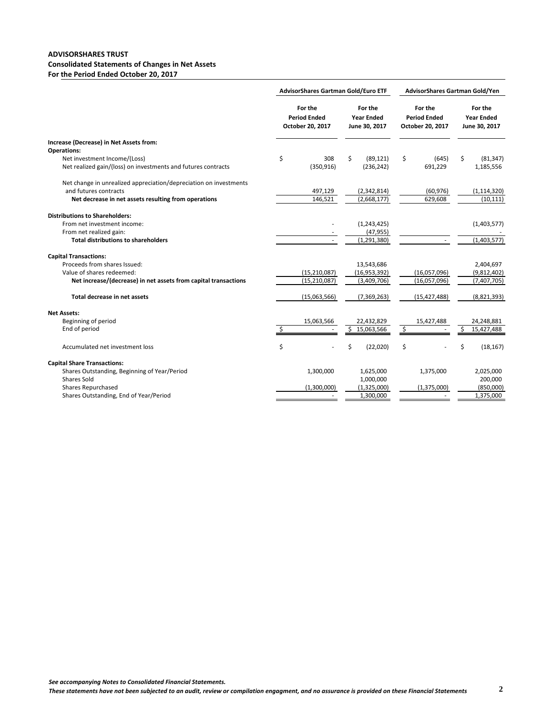#### **ADVISORSHARES TRUST Consolidated Statements of Changes in Net Assets For the Period Ended October 20, 2017**

|                                                                                               |                                                    | AdvisorShares Gartman Gold/Euro ETF           | AdvisorShares Gartman Gold/Yen                     |    |                                               |  |  |
|-----------------------------------------------------------------------------------------------|----------------------------------------------------|-----------------------------------------------|----------------------------------------------------|----|-----------------------------------------------|--|--|
|                                                                                               | For the<br><b>Period Ended</b><br>October 20, 2017 | For the<br><b>Year Ended</b><br>June 30, 2017 | For the<br><b>Period Ended</b><br>October 20, 2017 |    | For the<br><b>Year Ended</b><br>June 30, 2017 |  |  |
| Increase (Decrease) in Net Assets from:                                                       |                                                    |                                               |                                                    |    |                                               |  |  |
| <b>Operations:</b>                                                                            |                                                    | \$                                            |                                                    | Ś. |                                               |  |  |
| Net investment Income/(Loss)<br>Net realized gain/(loss) on investments and futures contracts | \$<br>308<br>(350, 916)                            | (89, 121)<br>(236, 242)                       | \$<br>(645)<br>691,229                             |    | (81, 347)<br>1,185,556                        |  |  |
|                                                                                               |                                                    |                                               |                                                    |    |                                               |  |  |
| Net change in unrealized appreciation/depreciation on investments                             |                                                    |                                               |                                                    |    |                                               |  |  |
| and futures contracts                                                                         | 497,129                                            | (2,342,814)                                   | (60, 976)                                          |    | (1, 114, 320)                                 |  |  |
| Net decrease in net assets resulting from operations                                          | 146,521                                            | (2,668,177)                                   | 629,608                                            |    | (10, 111)                                     |  |  |
|                                                                                               |                                                    |                                               |                                                    |    |                                               |  |  |
| <b>Distributions to Shareholders:</b>                                                         |                                                    |                                               |                                                    |    |                                               |  |  |
| From net investment income:                                                                   |                                                    | (1,243,425)                                   |                                                    |    | (1,403,577)                                   |  |  |
| From net realized gain:                                                                       |                                                    | (47, 955)                                     |                                                    |    |                                               |  |  |
| <b>Total distributions to shareholders</b>                                                    |                                                    | (1, 291, 380)                                 |                                                    |    | (1,403,577)                                   |  |  |
| <b>Capital Transactions:</b>                                                                  |                                                    |                                               |                                                    |    |                                               |  |  |
| Proceeds from shares Issued:                                                                  |                                                    | 13,543,686                                    |                                                    |    | 2,404,697                                     |  |  |
| Value of shares redeemed:                                                                     | (15, 210, 087)                                     | (16, 953, 392)                                | (16,057,096)                                       |    | (9,812,402)                                   |  |  |
| Net increase/(decrease) in net assets from capital transactions                               | (15, 210, 087)                                     | (3,409,706)                                   | (16,057,096)                                       |    | (7,407,705)                                   |  |  |
|                                                                                               |                                                    |                                               |                                                    |    |                                               |  |  |
| Total decrease in net assets                                                                  | (15,063,566)                                       | (7, 369, 263)                                 | (15, 427, 488)                                     |    | (8,821,393)                                   |  |  |
|                                                                                               |                                                    |                                               |                                                    |    |                                               |  |  |
| <b>Net Assets:</b>                                                                            |                                                    |                                               |                                                    |    |                                               |  |  |
| Beginning of period<br>End of period                                                          | \$<br>15,063,566                                   | 22,432,829<br>\$<br>15,063,566                | \$<br>15,427,488                                   | \$ | 24,248,881<br>15,427,488                      |  |  |
|                                                                                               |                                                    |                                               |                                                    |    |                                               |  |  |
| Accumulated net investment loss                                                               | \$                                                 | Ś<br>(22,020)                                 | \$                                                 | \$ | (18, 167)                                     |  |  |
|                                                                                               |                                                    |                                               |                                                    |    |                                               |  |  |
| <b>Capital Share Transactions:</b>                                                            |                                                    |                                               |                                                    |    |                                               |  |  |
| Shares Outstanding, Beginning of Year/Period                                                  | 1,300,000                                          | 1,625,000                                     | 1,375,000                                          |    | 2,025,000                                     |  |  |
| <b>Shares Sold</b>                                                                            |                                                    | 1,000,000                                     |                                                    |    | 200,000                                       |  |  |
| <b>Shares Repurchased</b>                                                                     | (1,300,000)                                        | (1,325,000)                                   | (1,375,000)                                        |    | (850,000)                                     |  |  |
| Shares Outstanding, End of Year/Period                                                        |                                                    | 1,300,000                                     |                                                    |    | 1,375,000                                     |  |  |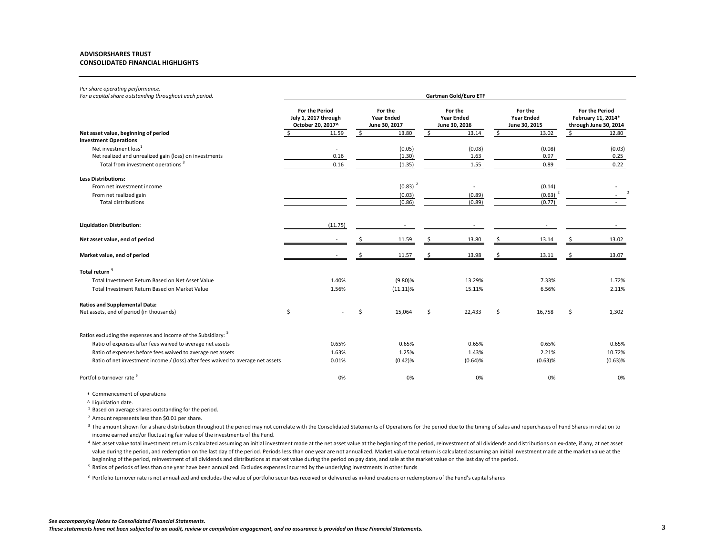#### **ADVISORSHARES TRUST CONSOLIDATED FINANCIAL HIGHLIGHTS**

#### *Per share operating performance.*

| rer shure operuting perjormance.<br>For a capital share outstanding throughout each period. | Gartman Gold/Euro ETF                                              |         |                                               |             |                                               |         |                                               |            |                                                                      |            |
|---------------------------------------------------------------------------------------------|--------------------------------------------------------------------|---------|-----------------------------------------------|-------------|-----------------------------------------------|---------|-----------------------------------------------|------------|----------------------------------------------------------------------|------------|
|                                                                                             | <b>For the Period</b><br>July 1, 2017 through<br>October 20, 2017^ |         | For the<br><b>Year Ended</b><br>June 30, 2017 |             | For the<br><b>Year Ended</b><br>June 30, 2016 |         | For the<br><b>Year Ended</b><br>June 30, 2015 |            | <b>For the Period</b><br>February 11, 2014*<br>through June 30, 2014 |            |
| Net asset value, beginning of period                                                        |                                                                    | 11.59   | S.                                            | 13.80       | S.                                            | 13.14   | \$                                            | 13.02      | Š.                                                                   | 12.80      |
| <b>Investment Operations</b>                                                                |                                                                    |         |                                               |             |                                               |         |                                               |            |                                                                      |            |
| Net investment loss <sup>1</sup>                                                            |                                                                    |         |                                               | (0.05)      |                                               | (0.08)  |                                               | (0.08)     |                                                                      | (0.03)     |
| Net realized and unrealized gain (loss) on investments                                      |                                                                    | 0.16    |                                               | (1.30)      |                                               | 1.63    |                                               | 0.97       |                                                                      | 0.25       |
| Total from investment operations <sup>3</sup>                                               |                                                                    | 0.16    |                                               | (1.35)      |                                               | 1.55    |                                               | 0.89       |                                                                      | 0.22       |
| <b>Less Distributions:</b>                                                                  |                                                                    |         |                                               |             |                                               |         |                                               |            |                                                                      |            |
| From net investment income                                                                  |                                                                    |         |                                               | $(0.83)^2$  |                                               |         |                                               | (0.14)     |                                                                      |            |
| From net realized gain                                                                      |                                                                    |         |                                               | (0.03)      |                                               | (0.89)  |                                               | $(0.63)^2$ |                                                                      |            |
| <b>Total distributions</b>                                                                  |                                                                    |         |                                               | (0.86)      |                                               | (0.89)  |                                               | (0.77)     |                                                                      |            |
| <b>Liquidation Distribution:</b>                                                            |                                                                    | (11.75) |                                               |             |                                               |         |                                               |            |                                                                      |            |
| Net asset value, end of period                                                              |                                                                    |         |                                               | 11.59       |                                               | 13.80   |                                               | 13.14      |                                                                      | 13.02      |
| Market value, end of period                                                                 |                                                                    |         |                                               | 11.57       |                                               | 13.98   |                                               | 13.11      |                                                                      | 13.07      |
| Total return <sup>4</sup>                                                                   |                                                                    |         |                                               |             |                                               |         |                                               |            |                                                                      |            |
| Total Investment Return Based on Net Asset Value                                            |                                                                    | 1.40%   |                                               | $(9.80)$ %  |                                               | 13.29%  |                                               | 7.33%      |                                                                      | 1.72%      |
| Total Investment Return Based on Market Value                                               |                                                                    | 1.56%   |                                               | $(11.11)\%$ |                                               | 15.11%  |                                               | 6.56%      |                                                                      | 2.11%      |
| <b>Ratios and Supplemental Data:</b>                                                        |                                                                    |         |                                               |             |                                               |         |                                               |            |                                                                      |            |
| Net assets, end of period (in thousands)                                                    | \$                                                                 |         | Ś                                             | 15,064      | \$                                            | 22,433  | Ś                                             | 16,758     | Ŝ.                                                                   | 1,302      |
| Ratios excluding the expenses and income of the Subsidiary: <sup>5</sup>                    |                                                                    |         |                                               |             |                                               |         |                                               |            |                                                                      |            |
| Ratio of expenses after fees waived to average net assets                                   |                                                                    | 0.65%   |                                               | 0.65%       |                                               | 0.65%   |                                               | 0.65%      |                                                                      | 0.65%      |
| Ratio of expenses before fees waived to average net assets                                  |                                                                    | 1.63%   |                                               | 1.25%       |                                               | 1.43%   |                                               | 2.21%      |                                                                      | 10.72%     |
| Ratio of net investment income / (loss) after fees waived to average net assets             |                                                                    | 0.01%   |                                               | (0.42)%     |                                               | (0.64)% |                                               | $(0.63)$ % |                                                                      | $(0.63)$ % |
|                                                                                             |                                                                    |         |                                               |             |                                               |         |                                               |            |                                                                      |            |
| Portfolio turnover rate <sup>6</sup>                                                        |                                                                    | 0%      |                                               | 0%          |                                               | 0%      |                                               | 0%         |                                                                      | 0%         |

\* Commencement of operations

^ Liquidation date.

<sup>1</sup> Based on average shares outstanding for the period.

<sup>2</sup> Amount represents less than \$0.01 per share.

<sup>3</sup> The amount shown for a share distribution throughout the period may not correlate with the Consolidated Statements of Operations for the period due to the timing of sales and repurchases of Fund Shares in relation to income earned and/or fluctuating fair value of the investments of the Fund.

4 Net asset value total investment return is calculated assuming an initial investment made at the net asset value at the beginning of the period, reinvestment of all dividends and distributions on ex-date, if any, at net value during the period, and redemption on the last day of the period. Periods less than one year are not annualized. Market value total return is calculated assuming an initial investment made at the market value at the beginning of the period, reinvestment of all dividends and distributions at market value during the period on pay date, and sale at the market value on the last day of the period.

<sup>5</sup> Ratios of periods of less than one year have been annualized. Excludes expenses incurred by the underlying investments in other funds

<sup>6</sup> Portfolio turnover rate is not annualized and excludes the value of portfolio securities received or delivered as in-kind creations or redemptions of the Fund's capital shares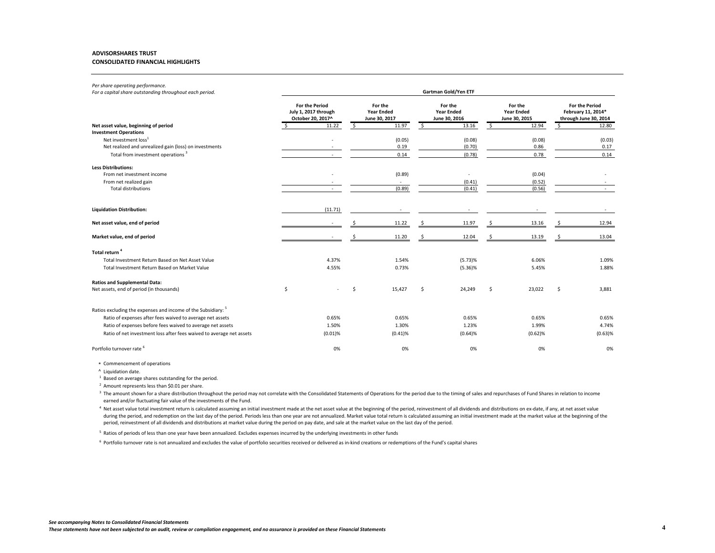#### **ADVISORSHARES TRUST CONSOLIDATED FINANCIAL HIGHLIGHTS**

### *Per share operating performance.*

| For a capital share outstanding throughout each period.                  | Gartman Gold/Yen ETF                                               |                                               |                                               |                                               |                                                                      |  |  |  |  |  |
|--------------------------------------------------------------------------|--------------------------------------------------------------------|-----------------------------------------------|-----------------------------------------------|-----------------------------------------------|----------------------------------------------------------------------|--|--|--|--|--|
|                                                                          | <b>For the Period</b><br>July 1, 2017 through<br>October 20, 2017^ | For the<br><b>Year Ended</b><br>June 30, 2017 | For the<br><b>Year Ended</b><br>June 30, 2016 | For the<br><b>Year Ended</b><br>June 30, 2015 | <b>For the Period</b><br>February 11, 2014*<br>through June 30, 2014 |  |  |  |  |  |
| Net asset value, beginning of period                                     | 11.22                                                              | 11.97<br>S.                                   | \$<br>13.16                                   | 12.94<br>S.                                   | 12.80<br>Ŝ.                                                          |  |  |  |  |  |
| <b>Investment Operations</b>                                             |                                                                    |                                               |                                               |                                               |                                                                      |  |  |  |  |  |
| Net investment loss <sup>1</sup>                                         |                                                                    | (0.05)                                        | (0.08)                                        | (0.08)                                        | (0.03)                                                               |  |  |  |  |  |
| Net realized and unrealized gain (loss) on investments                   |                                                                    | 0.19                                          | (0.70)                                        | 0.86                                          | 0.17                                                                 |  |  |  |  |  |
| Total from investment operations <sup>3</sup>                            |                                                                    | 0.14                                          | (0.78)                                        | 0.78                                          | 0.14                                                                 |  |  |  |  |  |
| <b>Less Distributions:</b>                                               |                                                                    |                                               |                                               |                                               |                                                                      |  |  |  |  |  |
| From net investment income                                               |                                                                    | (0.89)                                        | $\sim$                                        | (0.04)                                        |                                                                      |  |  |  |  |  |
| From net realized gain                                                   |                                                                    |                                               | (0.41)                                        | (0.52)                                        |                                                                      |  |  |  |  |  |
| <b>Total distributions</b>                                               | $\sim$                                                             | (0.89)                                        | (0.41)                                        | (0.56)                                        |                                                                      |  |  |  |  |  |
| <b>Liquidation Distribution:</b>                                         | (11.71)                                                            |                                               |                                               |                                               |                                                                      |  |  |  |  |  |
| Net asset value, end of period                                           |                                                                    | 11.22                                         | 11.97                                         | 13.16                                         | 12.94                                                                |  |  |  |  |  |
| Market value, end of period                                              |                                                                    | 11.20                                         | 12.04                                         | 13.19                                         | 13.04                                                                |  |  |  |  |  |
| Total return <sup>4</sup>                                                |                                                                    |                                               |                                               |                                               |                                                                      |  |  |  |  |  |
| Total Investment Return Based on Net Asset Value                         | 4.37%                                                              | 1.54%                                         | (5.73)%                                       | 6.06%                                         | 1.09%                                                                |  |  |  |  |  |
| Total Investment Return Based on Market Value                            | 4.55%                                                              | 0.73%                                         | $(5.36)\%$                                    | 5.45%                                         | 1.88%                                                                |  |  |  |  |  |
|                                                                          |                                                                    |                                               |                                               |                                               |                                                                      |  |  |  |  |  |
| <b>Ratios and Supplemental Data:</b>                                     |                                                                    |                                               |                                               |                                               |                                                                      |  |  |  |  |  |
| Net assets, end of period (in thousands)                                 | \$                                                                 | Ś<br>15,427                                   | Ś<br>24,249                                   | 23,022<br>Ŝ                                   | \$<br>3,881                                                          |  |  |  |  |  |
| Ratios excluding the expenses and income of the Subsidiary: <sup>5</sup> |                                                                    |                                               |                                               |                                               |                                                                      |  |  |  |  |  |
| Ratio of expenses after fees waived to average net assets                | 0.65%                                                              | 0.65%                                         | 0.65%                                         | 0.65%                                         | 0.65%                                                                |  |  |  |  |  |
| Ratio of expenses before fees waived to average net assets               | 1.50%                                                              | 1.30%                                         | 1.23%                                         | 1.99%                                         | 4.74%                                                                |  |  |  |  |  |
| Ratio of net investment loss after fees waived to average net assets     | (0.01)%                                                            | (0.41)%                                       | (0.64)%                                       | $(0.62)$ %                                    | $(0.63)$ %                                                           |  |  |  |  |  |
| Portfolio turnover rate <sup>6</sup>                                     | 0%                                                                 | 0%                                            | 0%                                            | 0%                                            | 0%                                                                   |  |  |  |  |  |

\* Commencement of operations

<sup>1</sup> Based on average shares outstanding for the period.

<sup>2</sup> Amount represents less than \$0.01 per share.

<sup>3</sup> The amount shown for a share distribution throughout the period may not correlate with the Consolidated Statements of Operations for the period due to the timing of sales and repurchases of Fund Shares in relation to i earned and/or fluctuating fair value of the investments of the Fund.

4 Net asset value total investment return is calculated assuming an initial investment made at the net asset value at the beginning of the period, reinvestment of all dividends and distributions on ex-date, if any, at net during the period, and redemption on the last day of the period. Periods less than one year are not annualized. Market value total return is calculated assuming an initial investment made at the market value at the beginni period, reinvestment of all dividends and distributions at market value during the period on pay date, and sale at the market value on the last day of the period.

5 Ratios of periods of less than one year have been annualized. Excludes expenses incurred by the underlying investments in other funds

<sup>6</sup> Portfolio turnover rate is not annualized and excludes the value of portfolio securities received or delivered as in-kind creations or redemptions of the Fund's capital shares

<sup>^</sup> Liquidation date.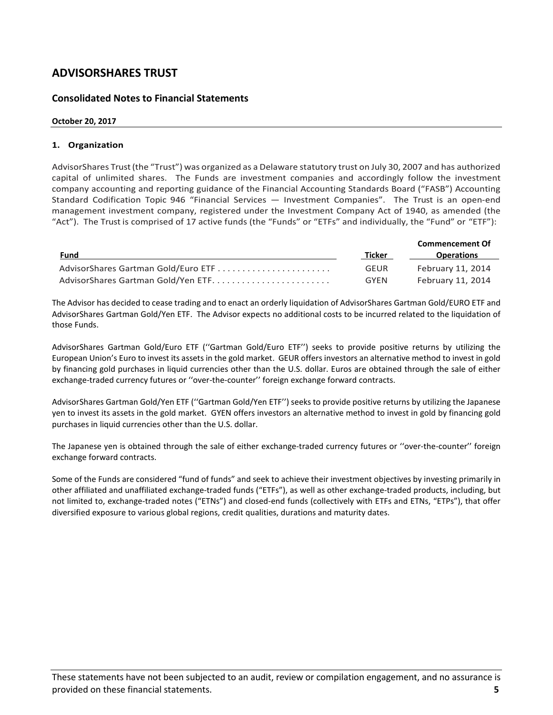### **Consolidated Notes to Financial Statements**

### **October 20, 2017**

### **1. Organization**

AdvisorShares Trust(the "Trust") was organized as a Delaware statutory trust on July 30, 2007 and has authorized capital of unlimited shares. The Funds are investment companies and accordingly follow the investment company accounting and reporting guidance of the Financial Accounting Standards Board ("FASB") Accounting Standard Codification Topic 946 "Financial Services — Investment Companies". The Trust is an open-end management investment company, registered under the Investment Company Act of 1940, as amended (the "Act"). The Trust is comprised of 17 active funds (the "Funds" or "ETFs" and individually, the "Fund" or "ETF"):

|                                     |             | <b>Commencement Of</b> |
|-------------------------------------|-------------|------------------------|
| Fund                                | Ticker      | <b>Operations</b>      |
| AdvisorShares Gartman Gold/Euro ETF | <b>GEUR</b> | February 11, 2014      |
|                                     | GYEN        | February 11, 2014      |

The Advisor has decided to cease trading and to enact an orderly liquidation of AdvisorShares Gartman Gold/EURO ETF and AdvisorShares Gartman Gold/Yen ETF. The Advisor expects no additional costs to be incurred related to the liquidation of those Funds.

AdvisorShares Gartman Gold/Euro ETF (''Gartman Gold/Euro ETF'') seeks to provide positive returns by utilizing the European Union's Euro to invest its assets in the gold market. GEUR offers investors an alternative method to invest in gold by financing gold purchases in liquid currencies other than the U.S. dollar. Euros are obtained through the sale of either exchange-traded currency futures or ''over-the-counter'' foreign exchange forward contracts.

AdvisorShares Gartman Gold/Yen ETF (''Gartman Gold/Yen ETF'') seeks to provide positive returns by utilizing the Japanese yen to invest its assets in the gold market. GYEN offers investors an alternative method to invest in gold by financing gold purchases in liquid currencies other than the U.S. dollar.

The Japanese yen is obtained through the sale of either exchange-traded currency futures or ''over-the-counter'' foreign exchange forward contracts.

Some of the Funds are considered "fund of funds" and seek to achieve their investment objectives by investing primarily in other affiliated and unaffiliated exchange-traded funds ("ETFs"), as well as other exchange-traded products, including, but not limited to, exchange-traded notes ("ETNs") and closed-end funds (collectively with ETFs and ETNs, "ETPs"), that offer diversified exposure to various global regions, credit qualities, durations and maturity dates.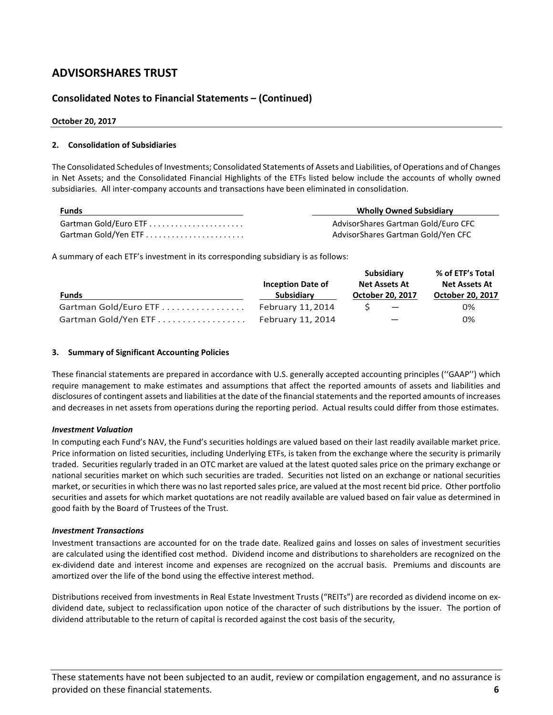# **Consolidated Notes to Financial Statements – (Continued)**

#### **October 20, 2017**

#### **2. Consolidation of Subsidiaries**

The Consolidated Schedules of Investments; Consolidated Statements of Assets and Liabilities, of Operations and of Changes in Net Assets; and the Consolidated Financial Highlights of the ETFs listed below include the accounts of wholly owned subsidiaries. All inter-company accounts and transactions have been eliminated in consolidation.

| <b>Funds</b>         | <b>Wholly Owned Subsidiary</b>      |
|----------------------|-------------------------------------|
|                      | AdvisorShares Gartman Gold/Euro CFC |
| Gartman Gold/Yen ETF | AdvisorShares Gartman Gold/Yen CFC  |

A summary of each ETF's investment in its corresponding subsidiary is as follows:

|                       |                          | Subsidiary               | % of ETF's Total        |
|-----------------------|--------------------------|--------------------------|-------------------------|
|                       | <b>Inception Date of</b> | <b>Net Assets At</b>     | <b>Net Assets At</b>    |
| <b>Funds</b>          | <b>Subsidiary</b>        | <b>October 20, 2017</b>  | <b>October 20, 2017</b> |
| Gartman Gold/Euro ETF | February 11, 2014        | $\overline{\phantom{0}}$ | 0%                      |
| Gartman Gold/Yen ETF  | February 11, 2014        |                          | 0%                      |

#### **3. Summary of Significant Accounting Policies**

These financial statements are prepared in accordance with U.S. generally accepted accounting principles (''GAAP'') which require management to make estimates and assumptions that affect the reported amounts of assets and liabilities and disclosures of contingent assets and liabilities at the date of the financial statements and the reported amounts of increases and decreases in net assets from operations during the reporting period. Actual results could differ from those estimates.

#### *Investment Valuation*

In computing each Fund's NAV, the Fund's securities holdings are valued based on their last readily available market price. Price information on listed securities, including Underlying ETFs, is taken from the exchange where the security is primarily traded. Securities regularly traded in an OTC market are valued at the latest quoted sales price on the primary exchange or national securities market on which such securities are traded. Securities not listed on an exchange or national securities market, or securities in which there was no last reported sales price, are valued at the most recent bid price. Other portfolio securities and assets for which market quotations are not readily available are valued based on fair value as determined in good faith by the Board of Trustees of the Trust.

#### *Investment Transactions*

Investment transactions are accounted for on the trade date. Realized gains and losses on sales of investment securities are calculated using the identified cost method. Dividend income and distributions to shareholders are recognized on the ex-dividend date and interest income and expenses are recognized on the accrual basis. Premiums and discounts are amortized over the life of the bond using the effective interest method.

Distributions received from investments in Real Estate Investment Trusts ("REITs") are recorded as dividend income on exdividend date, subject to reclassification upon notice of the character of such distributions by the issuer. The portion of dividend attributable to the return of capital is recorded against the cost basis of the security,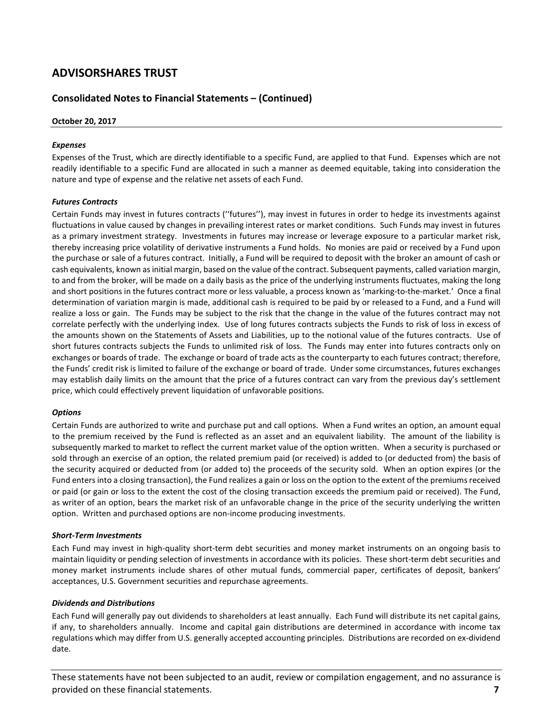# **Consolidated Notes to Financial Statements – (Continued)**

#### **October 20, 2017**

#### *Expenses*

Expenses of the Trust, which are directly identifiable to a specific Fund, are applied to that Fund. Expenses which are not readily identifiable to a specific Fund are allocated in such a manner as deemed equitable, taking into consideration the nature and type of expense and the relative net assets of each Fund.

#### *Futures Contracts*

Certain Funds may invest in futures contracts (''futures''), may invest in futures in order to hedge its investments against fluctuations in value caused by changes in prevailing interest rates or market conditions. Such Funds may invest in futures as a primary investment strategy. Investments in futures may increase or leverage exposure to a particular market risk, thereby increasing price volatility of derivative instruments a Fund holds. No monies are paid or received by a Fund upon the purchase or sale of a futures contract. Initially, a Fund will be required to deposit with the broker an amount of cash or cash equivalents, known as initial margin, based on the value of the contract. Subsequent payments, called variation margin, to and from the broker, will be made on a daily basis as the price of the underlying instruments fluctuates, making the long and short positions in the futures contract more or less valuable, a process known as 'marking-to-the-market.' Once a final determination of variation margin is made, additional cash is required to be paid by or released to a Fund, and a Fund will realize a loss or gain. The Funds may be subject to the risk that the change in the value of the futures contract may not correlate perfectly with the underlying index. Use of long futures contracts subjects the Funds to risk of loss in excess of the amounts shown on the Statements of Assets and Liabilities, up to the notional value of the futures contracts. Use of short futures contracts subjects the Funds to unlimited risk of loss. The Funds may enter into futures contracts only on exchanges or boards of trade. The exchange or board of trade acts as the counterparty to each futures contract; therefore, the Funds' credit risk is limited to failure of the exchange or board of trade. Under some circumstances, futures exchanges may establish daily limits on the amount that the price of a futures contract can vary from the previous day's settlement price, which could effectively prevent liquidation of unfavorable positions.

#### *Options*

Certain Funds are authorized to write and purchase put and call options. When a Fund writes an option, an amount equal to the premium received by the Fund is reflected as an asset and an equivalent liability. The amount of the liability is subsequently marked to market to reflect the current market value of the option written. When a security is purchased or sold through an exercise of an option, the related premium paid (or received) is added to (or deducted from) the basis of the security acquired or deducted from (or added to) the proceeds of the security sold. When an option expires (or the Fund enters into a closing transaction), the Fund realizes a gain or loss on the option to the extent of the premiums received or paid (or gain or loss to the extent the cost of the closing transaction exceeds the premium paid or received). The Fund, as writer of an option, bears the market risk of an unfavorable change in the price of the security underlying the written option. Written and purchased options are non-income producing investments.

#### *Short-Term Investments*

Each Fund may invest in high-quality short-term debt securities and money market instruments on an ongoing basis to maintain liquidity or pending selection of investments in accordance with its policies. These short-term debt securities and money market instruments include shares of other mutual funds, commercial paper, certificates of deposit, bankers' acceptances, U.S. Government securities and repurchase agreements.

#### *Dividends and Distributions*

Each Fund will generally pay out dividends to shareholders at least annually. Each Fund will distribute its net capital gains, if any, to shareholders annually. Income and capital gain distributions are determined in accordance with income tax regulations which may differ from U.S. generally accepted accounting principles. Distributions are recorded on ex-dividend date.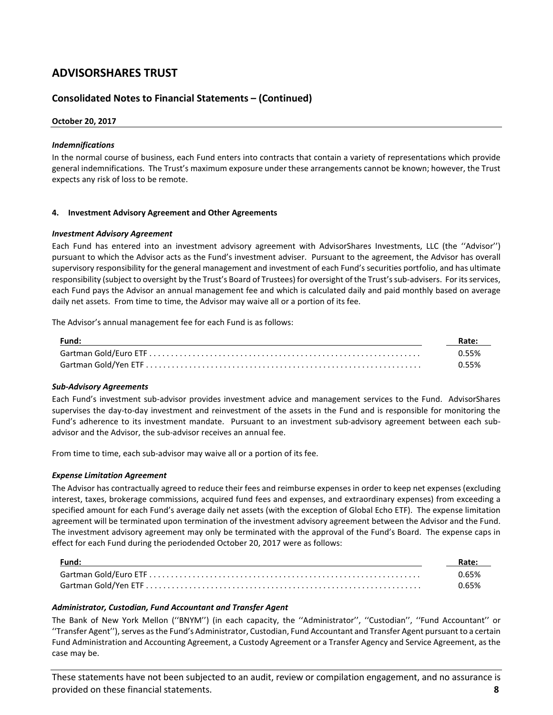### **Consolidated Notes to Financial Statements – (Continued)**

#### **October 20, 2017**

#### *Indemnifications*

In the normal course of business, each Fund enters into contracts that contain a variety of representations which provide general indemnifications. The Trust's maximum exposure under these arrangements cannot be known; however, the Trust expects any risk of loss to be remote.

#### **4. Investment Advisory Agreement and Other Agreements**

#### *Investment Advisory Agreement*

Each Fund has entered into an investment advisory agreement with AdvisorShares Investments, LLC (the ''Advisor'') pursuant to which the Advisor acts as the Fund's investment adviser. Pursuant to the agreement, the Advisor has overall supervisory responsibility for the general management and investment of each Fund's securities portfolio, and has ultimate responsibility (subject to oversight by the Trust's Board of Trustees) for oversight of the Trust's sub-advisers. For its services, each Fund pays the Advisor an annual management fee and which is calculated daily and paid monthly based on average daily net assets. From time to time, the Advisor may waive all or a portion of its fee.

The Advisor's annual management fee for each Fund is as follows:

| Fund: | Rate: |
|-------|-------|
|       | 0.55% |
|       | 0.55% |

#### *Sub-Advisory Agreements*

Each Fund's investment sub-advisor provides investment advice and management services to the Fund. AdvisorShares supervises the day-to-day investment and reinvestment of the assets in the Fund and is responsible for monitoring the Fund's adherence to its investment mandate. Pursuant to an investment sub-advisory agreement between each subadvisor and the Advisor, the sub-advisor receives an annual fee.

From time to time, each sub-advisor may waive all or a portion of its fee.

#### *Expense Limitation Agreement*

The Advisor has contractually agreed to reduce their fees and reimburse expenses in order to keep net expenses (excluding interest, taxes, brokerage commissions, acquired fund fees and expenses, and extraordinary expenses) from exceeding a specified amount for each Fund's average daily net assets (with the exception of Global Echo ETF). The expense limitation agreement will be terminated upon termination of the investment advisory agreement between the Advisor and the Fund. The investment advisory agreement may only be terminated with the approval of the Fund's Board. The expense caps in effect for each Fund during the periodended October 20, 2017 were as follows:

| Fund: | Rate: |
|-------|-------|
|       | 0.65% |
|       | 0.65% |

#### *Administrator, Custodian, Fund Accountant and Transfer Agent*

The Bank of New York Mellon (''BNYM'') (in each capacity, the ''Administrator'', ''Custodian'', ''Fund Accountant'' or ''Transfer Agent''), serves as the Fund's Administrator, Custodian, Fund Accountant and Transfer Agent pursuant to a certain Fund Administration and Accounting Agreement, a Custody Agreement or a Transfer Agency and Service Agreement, as the case may be.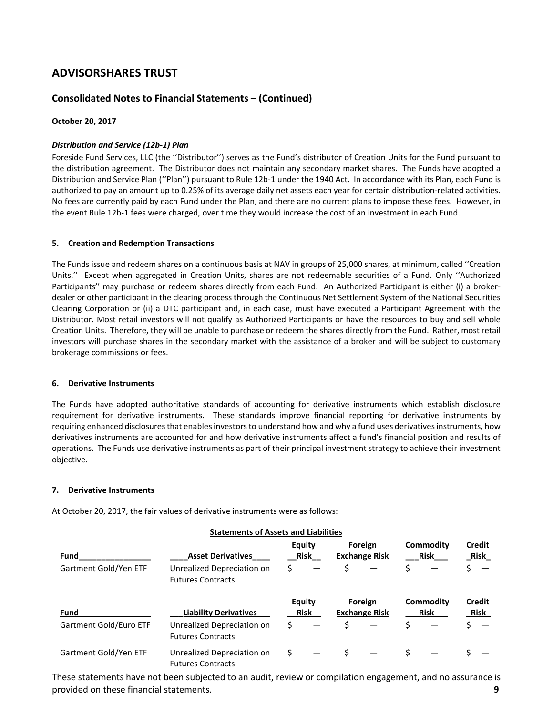# **Consolidated Notes to Financial Statements – (Continued)**

#### **October 20, 2017**

### *Distribution and Service (12b-1) Plan*

Foreside Fund Services, LLC (the ''Distributor'') serves as the Fund's distributor of Creation Units for the Fund pursuant to the distribution agreement. The Distributor does not maintain any secondary market shares. The Funds have adopted a Distribution and Service Plan (''Plan'') pursuant to Rule 12b-1 under the 1940 Act. In accordance with its Plan, each Fund is authorized to pay an amount up to 0.25% of its average daily net assets each year for certain distribution-related activities. No fees are currently paid by each Fund under the Plan, and there are no current plans to impose these fees. However, in the event Rule 12b-1 fees were charged, over time they would increase the cost of an investment in each Fund.

### **5. Creation and Redemption Transactions**

The Funds issue and redeem shares on a continuous basis at NAV in groups of 25,000 shares, at minimum, called ''Creation Units.'' Except when aggregated in Creation Units, shares are not redeemable securities of a Fund. Only ''Authorized Participants'' may purchase or redeem shares directly from each Fund. An Authorized Participant is either (i) a brokerdealer or other participant in the clearing process through the Continuous Net Settlement System of the National Securities Clearing Corporation or (ii) a DTC participant and, in each case, must have executed a Participant Agreement with the Distributor. Most retail investors will not qualify as Authorized Participants or have the resources to buy and sell whole Creation Units. Therefore, they will be unable to purchase or redeem the shares directly from the Fund. Rather, most retail investors will purchase shares in the secondary market with the assistance of a broker and will be subject to customary brokerage commissions or fees.

#### **6. Derivative Instruments**

The Funds have adopted authoritative standards of accounting for derivative instruments which establish disclosure requirement for derivative instruments. These standards improve financial reporting for derivative instruments by requiring enhanced disclosures that enables investors to understand how and why a fund uses derivatives instruments, how derivatives instruments are accounted for and how derivative instruments affect a fund's financial position and results of operations. The Funds use derivative instruments as part of their principal investment strategy to achieve their investment objective.

### **7. Derivative Instruments**

At October 20, 2017, the fair values of derivative instruments were as follows:

|                        | <b>Statements of Assets and Liabilities</b>            |                              |    |                                 |    |                                 |                       |
|------------------------|--------------------------------------------------------|------------------------------|----|---------------------------------|----|---------------------------------|-----------------------|
| Fund                   | <b>Asset Derivatives</b>                               | <b>Equity</b><br><b>Risk</b> |    | Foreign<br><b>Exchange Risk</b> |    | <b>Commodity</b><br><b>Risk</b> | Credit<br><b>Risk</b> |
| Gartment Gold/Yen ETF  | Unrealized Depreciation on<br><b>Futures Contracts</b> | \$                           | Ś. |                                 | \$ |                                 |                       |
| Fund                   | <b>Liability Derivatives</b>                           | Equity<br><b>Risk</b>        |    | Foreign<br><b>Exchange Risk</b> |    | Commodity<br><b>Risk</b>        | Credit<br>Risk        |
| Gartment Gold/Euro ETF | Unrealized Depreciation on<br><b>Futures Contracts</b> | \$                           | Ś. |                                 | Ś. |                                 |                       |
| Gartment Gold/Yen ETF  | Unrealized Depreciation on<br><b>Futures Contracts</b> | \$                           |    |                                 |    |                                 |                       |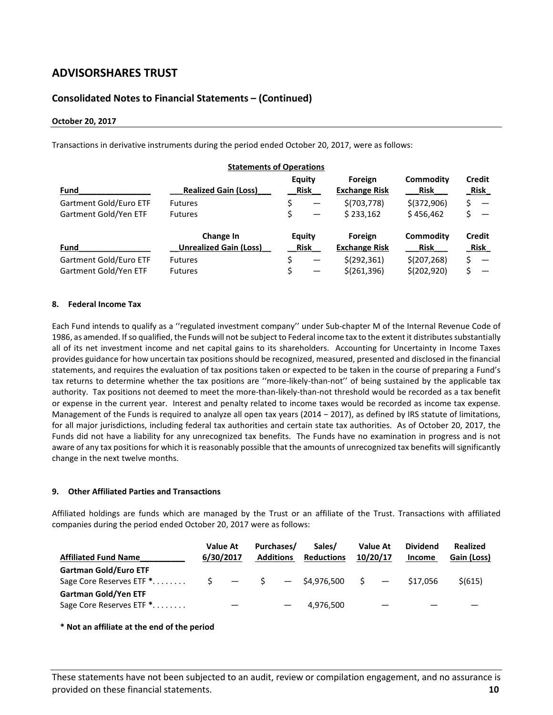# **Consolidated Notes to Financial Statements – (Continued)**

#### **October 20, 2017**

Transactions in derivative instruments during the period ended October 20, 2017, were as follows:

|                        | <b>Statements of Operations</b>            |                       |                                 |                                 |                              |
|------------------------|--------------------------------------------|-----------------------|---------------------------------|---------------------------------|------------------------------|
| Fund                   | <b>Realized Gain (Loss)</b>                | Equity<br>Risk        | Foreign<br><b>Exchange Risk</b> | Commodity<br><b>Risk</b>        | <b>Credit</b><br><b>Risk</b> |
| Gartment Gold/Euro ETF | <b>Futures</b>                             | \$                    | \$(703, 778)                    | $$$ (372,906)                   | $\overline{\phantom{m}}$     |
| Gartment Gold/Yen ETF  | <b>Futures</b>                             |                       | \$233.162                       | \$456.462                       |                              |
| Fund                   | Change In<br><b>Unrealized Gain (Loss)</b> | Equity<br><b>Risk</b> | Foreign<br><b>Exchange Risk</b> | <b>Commodity</b><br><b>Risk</b> | <b>Credit</b><br><b>Risk</b> |
| Gartment Gold/Euro ETF | <b>Futures</b>                             | \$                    | \$(292, 361)                    | \$(207, 268)                    | $\overline{\phantom{m}}$     |
| Gartment Gold/Yen ETF  | <b>Futures</b>                             |                       | \$(261,396)                     | \$(202, 920)                    |                              |

#### **8. Federal Income Tax**

Each Fund intends to qualify as a ''regulated investment company'' under Sub-chapter M of the Internal Revenue Code of 1986, as amended. If so qualified, the Funds will not be subject to Federal income tax to the extent it distributes substantially all of its net investment income and net capital gains to its shareholders. Accounting for Uncertainty in Income Taxes provides guidance for how uncertain tax positions should be recognized, measured, presented and disclosed in the financial statements, and requires the evaluation of tax positions taken or expected to be taken in the course of preparing a Fund's tax returns to determine whether the tax positions are ''more-likely-than-not'' of being sustained by the applicable tax authority. Tax positions not deemed to meet the more-than-likely-than-not threshold would be recorded as a tax benefit or expense in the current year. Interest and penalty related to income taxes would be recorded as income tax expense. Management of the Funds is required to analyze all open tax years (2014 − 2017), as defined by IRS statute of limitations, for all major jurisdictions, including federal tax authorities and certain state tax authorities. As of October 20, 2017, the Funds did not have a liability for any unrecognized tax benefits. The Funds have no examination in progress and is not aware of any tax positions for which it is reasonably possible that the amounts of unrecognized tax benefits will significantly change in the next twelve months.

#### **9. Other Affiliated Parties and Transactions**

Affiliated holdings are funds which are managed by the Trust or an affiliate of the Trust. Transactions with affiliated companies during the period ended October 20, 2017 were as follows:

| <b>Affiliated Fund Name</b>                              |     | <b>Value At</b><br>6/30/2017 | Purchases/<br><b>Additions</b> | Sales/<br><b>Reductions</b> | Value At<br>10/20/17     | <b>Dividend</b><br>Income | Realized<br>Gain (Loss) |
|----------------------------------------------------------|-----|------------------------------|--------------------------------|-----------------------------|--------------------------|---------------------------|-------------------------|
| <b>Gartman Gold/Euro ETF</b><br>Sage Core Reserves ETF * | S – |                              |                                | $-$ \$ $-$ \$4,976,500 \$   | $\overline{\phantom{0}}$ | \$17.056                  | \$ (615)                |
| <b>Gartman Gold/Yen ETF</b><br>Sage Core Reserves ETF *  |     |                              |                                | 4,976,500                   |                          |                           |                         |

**\* Not an affiliate at the end of the period**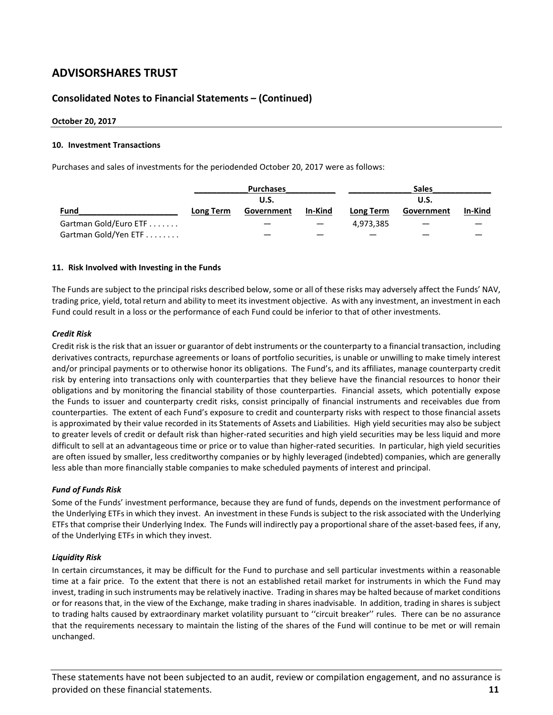# **Consolidated Notes to Financial Statements – (Continued)**

#### **October 20, 2017**

#### **10. Investment Transactions**

Purchases and sales of investments for the periodended October 20, 2017 were as follows:

|                       |           | <b>Purchases</b> |         | <b>Sales</b><br><b>U.S.</b> |            |         |  |
|-----------------------|-----------|------------------|---------|-----------------------------|------------|---------|--|
|                       |           | U.S.             |         |                             |            |         |  |
| Fund                  | Long Term | Government       | In-Kind | Long Term                   | Government | In-Kind |  |
| Gartman Gold/Euro ETF |           |                  |         | 4.973.385                   |            |         |  |
| Gartman Gold/Yen ETF  |           |                  |         |                             |            |         |  |

#### **11. Risk Involved with Investing in the Funds**

The Funds are subject to the principal risks described below, some or all of these risks may adversely affect the Funds' NAV, trading price, yield, total return and ability to meet its investment objective. As with any investment, an investment in each Fund could result in a loss or the performance of each Fund could be inferior to that of other investments.

#### *Credit Risk*

Credit risk is the risk that an issuer or guarantor of debt instruments or the counterparty to a financial transaction, including derivatives contracts, repurchase agreements or loans of portfolio securities, is unable or unwilling to make timely interest and/or principal payments or to otherwise honor its obligations. The Fund's, and its affiliates, manage counterparty credit risk by entering into transactions only with counterparties that they believe have the financial resources to honor their obligations and by monitoring the financial stability of those counterparties. Financial assets, which potentially expose the Funds to issuer and counterparty credit risks, consist principally of financial instruments and receivables due from counterparties. The extent of each Fund's exposure to credit and counterparty risks with respect to those financial assets is approximated by their value recorded in its Statements of Assets and Liabilities. High yield securities may also be subject to greater levels of credit or default risk than higher-rated securities and high yield securities may be less liquid and more difficult to sell at an advantageous time or price or to value than higher-rated securities. In particular, high yield securities are often issued by smaller, less creditworthy companies or by highly leveraged (indebted) companies, which are generally less able than more financially stable companies to make scheduled payments of interest and principal.

#### *Fund of Funds Risk*

Some of the Funds' investment performance, because they are fund of funds, depends on the investment performance of the Underlying ETFs in which they invest. An investment in these Funds is subject to the risk associated with the Underlying ETFs that comprise their Underlying Index. The Funds will indirectly pay a proportional share of the asset-based fees, if any, of the Underlying ETFs in which they invest.

#### *Liquidity Risk*

In certain circumstances, it may be difficult for the Fund to purchase and sell particular investments within a reasonable time at a fair price. To the extent that there is not an established retail market for instruments in which the Fund may invest, trading in such instruments may be relatively inactive. Trading in shares may be halted because of market conditions or for reasons that, in the view of the Exchange, make trading in shares inadvisable. In addition, trading in shares is subject to trading halts caused by extraordinary market volatility pursuant to ''circuit breaker'' rules. There can be no assurance that the requirements necessary to maintain the listing of the shares of the Fund will continue to be met or will remain unchanged.